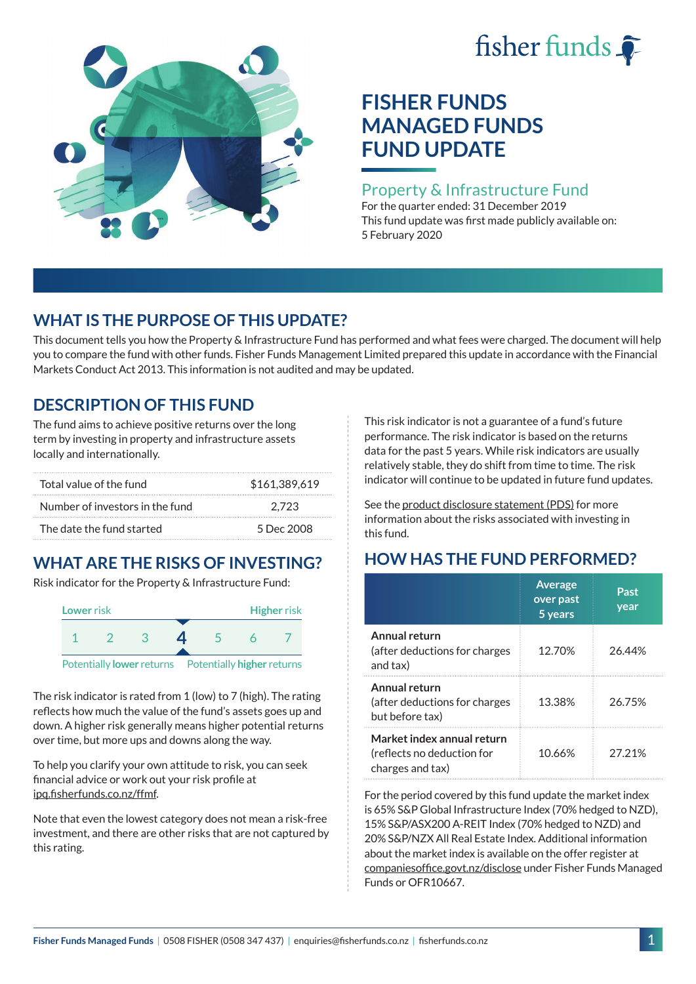# fisher funds  $\hat{\bullet}$



# **FISHER FUNDS MANAGED FUNDS FUND UPDATE**

#### Property & Infrastructure Fund

For the quarter ended: 31 December 2019 This fund update was first made publicly available on: 5 February 2020

## **WHAT IS THE PURPOSE OF THIS UPDATE?**

This document tells you how the Property & Infrastructure Fund has performed and what fees were charged. The document will help you to compare the fund with other funds. Fisher Funds Management Limited prepared this update in accordance with the Financial Markets Conduct Act 2013. This information is not audited and may be updated.

## **DESCRIPTION OF THIS FUND**

The fund aims to achieve positive returns over the long term by investing in property and infrastructure assets locally and internationally.

| Total value of the fund         | \$161,389,619 |
|---------------------------------|---------------|
| Number of investors in the fund | 2.723         |
| The date the fund started       | 5 Dec 2008    |

# **WHAT ARE THE RISKS OF INVESTING?**

Risk indicator for the Property & Infrastructure Fund:



The risk indicator is rated from 1 (low) to 7 (high). The rating reflects how much the value of the fund's assets goes up and down. A higher risk generally means higher potential returns over time, but more ups and downs along the way.

To help you clarify your own attitude to risk, you can seek financial advice or work out your risk profile at [ipq.fisherfunds.co.nz/ffmf](https://ipq.fisherfunds.co.nz/ffmf).

Note that even the lowest category does not mean a risk-free investment, and there are other risks that are not captured by this rating.

This risk indicator is not a guarantee of a fund's future performance. The risk indicator is based on the returns data for the past 5 years. While risk indicators are usually relatively stable, they do shift from time to time. The risk indicator will continue to be updated in future fund updates.

See the [product disclosure statement \(PDS\)](https://fisherfunds.co.nz/assets/PDS/Fisher-Funds-Managed-Funds-PDS.pdf) for more information about the risks associated with investing in this fund.

# **HOW HAS THE FUND PERFORMED?**

|                                                                              | <b>Average</b><br>over past<br>5 years | Past<br>year |
|------------------------------------------------------------------------------|----------------------------------------|--------------|
| Annual return<br>(after deductions for charges<br>and tax)                   | 12.70%                                 | 26.44%       |
| Annual return<br>(after deductions for charges<br>but before tax)            | 13.38%                                 | 26.75%       |
| Market index annual return<br>(reflects no deduction for<br>charges and tax) | 10.66%                                 | 27.21%       |

For the period covered by this fund update the market index is 65% S&P Global Infrastructure Index (70% hedged to NZD), 15% S&P/ASX200 A-REIT Index (70% hedged to NZD) and 20% S&P/NZX All Real Estate Index. Additional information about the market index is available on the offer register at [companiesoffice.govt.nz/disclose](http://companiesoffice.govt.nz/disclose) under Fisher Funds Managed Funds or OFR10667.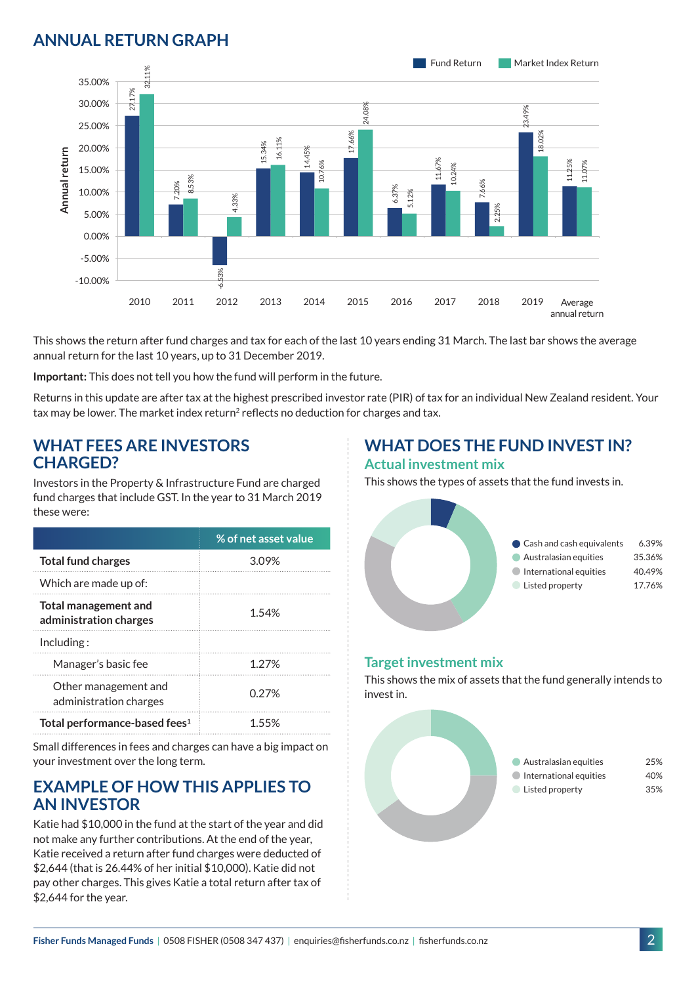## **ANNUAL RETURN GRAPH**



This shows the return after fund charges and tax for each of the last 10 years ending 31 March. The last bar shows the average annual return for the last 10 years, up to 31 December 2019.

**Important:** This does not tell you how the fund will perform in the future.

Returns in this update are after tax at the highest prescribed investor rate (PIR) of tax for an individual New Zealand resident. Your tax may be lower. The market index return<sup>2</sup> reflects no deduction for charges and tax.

#### **WHAT FEES ARE INVESTORS CHARGED?**

Investors in the Property & Infrastructure Fund are charged fund charges that include GST. In the year to 31 March 2019 these were:

|                                                | % of net asset value |
|------------------------------------------------|----------------------|
| <b>Total fund charges</b>                      | 3.09%                |
| Which are made up of:                          |                      |
| Total management and<br>administration charges | 1.54%                |
| Inding:                                        |                      |
| Manager's basic fee                            | 1 27%                |
| Other management and<br>administration charges | 0.27%                |
| Total performance-based fees <sup>1</sup>      | 155%                 |

Small differences in fees and charges can have a big impact on your investment over the long term.

#### **EXAMPLE OF HOW THIS APPLIES TO AN INVESTOR**

Katie had \$10,000 in the fund at the start of the year and did not make any further contributions. At the end of the year, Katie received a return after fund charges were deducted of \$2,644 (that is 26.44% of her initial \$10,000). Katie did not pay other charges. This gives Katie a total return after tax of \$2,644 for the year.

# **WHAT DOES THE FUND INVEST IN?**

#### **Actual investment mix**

This shows the types of assets that the fund invests in.



#### **Target investment mix**

This shows the mix of assets that the fund generally intends to invest in.